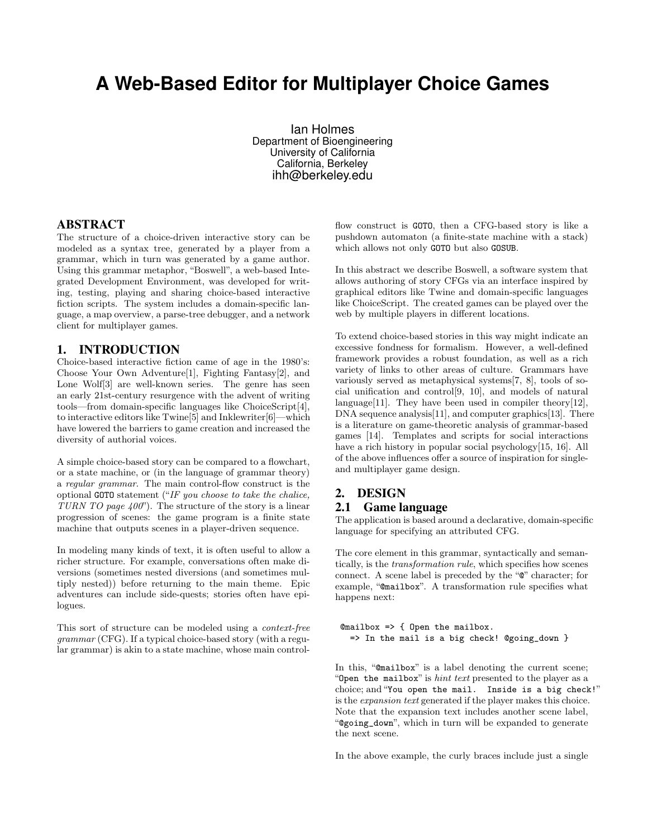# **A Web-Based Editor for Multiplayer Choice Games**

Ian Holmes Department of Bioengineering University of California California, Berkeley ihh@berkeley.edu

#### ABSTRACT

The structure of a choice-driven interactive story can be modeled as a syntax tree, generated by a player from a grammar, which in turn was generated by a game author. Using this grammar metaphor, "Boswell", a web-based Integrated Development Environment, was developed for writing, testing, playing and sharing choice-based interactive fiction scripts. The system includes a domain-specific language, a map overview, a parse-tree debugger, and a network client for multiplayer games.

## 1. INTRODUCTION

Choice-based interactive fiction came of age in the 1980's: Choose Your Own Adventure[1], Fighting Fantasy[2], and Lone Wolf<sup>[3]</sup> are well-known series. The genre has seen an early 21st-century resurgence with the advent of writing tools—from domain-specific languages like ChoiceScript[4], to interactive editors like Twine[5] and Inklewriter[6]—which have lowered the barriers to game creation and increased the diversity of authorial voices.

A simple choice-based story can be compared to a flowchart, or a state machine, or (in the language of grammar theory) a regular grammar. The main control-flow construct is the optional GOTO statement ("IF you choose to take the chalice, TURN TO page  $400$ "). The structure of the story is a linear progression of scenes: the game program is a finite state machine that outputs scenes in a player-driven sequence.

In modeling many kinds of text, it is often useful to allow a richer structure. For example, conversations often make diversions (sometimes nested diversions (and sometimes multiply nested)) before returning to the main theme. Epic adventures can include side-quests; stories often have epilogues.

This sort of structure can be modeled using a context-free grammar (CFG). If a typical choice-based story (with a regular grammar) is akin to a state machine, whose main controlflow construct is GOTO, then a CFG-based story is like a pushdown automaton (a finite-state machine with a stack) which allows not only GOTO but also GOSUB.

In this abstract we describe Boswell, a software system that allows authoring of story CFGs via an interface inspired by graphical editors like Twine and domain-specific languages like ChoiceScript. The created games can be played over the web by multiple players in different locations.

To extend choice-based stories in this way might indicate an excessive fondness for formalism. However, a well-defined framework provides a robust foundation, as well as a rich variety of links to other areas of culture. Grammars have variously served as metaphysical systems[7, 8], tools of social unification and control[9, 10], and models of natural language<sup>[11]</sup>. They have been used in compiler theory<sup>[12]</sup>, DNA sequence analysis<sup>[11]</sup>, and computer graphics<sup>[13]</sup>. There is a literature on game-theoretic analysis of grammar-based games [14]. Templates and scripts for social interactions have a rich history in popular social psychology[15, 16]. All of the above influences offer a source of inspiration for singleand multiplayer game design.

## 2. DESIGN

#### 2.1 Game language

The application is based around a declarative, domain-specific language for specifying an attributed CFG.

The core element in this grammar, syntactically and semantically, is the transformation rule, which specifies how scenes connect. A scene label is preceded by the "@" character; for example, "@mailbox". A transformation rule specifies what happens next:

@mailbox => { Open the mailbox. => In the mail is a big check! @going\_down }

In this, "@mailbox" is a label denoting the current scene; "Open the mailbox" is *hint text* presented to the player as a choice; and"You open the mail. Inside is a big check!" is the expansion text generated if the player makes this choice. Note that the expansion text includes another scene label, "@going\_down", which in turn will be expanded to generate the next scene.

In the above example, the curly braces include just a single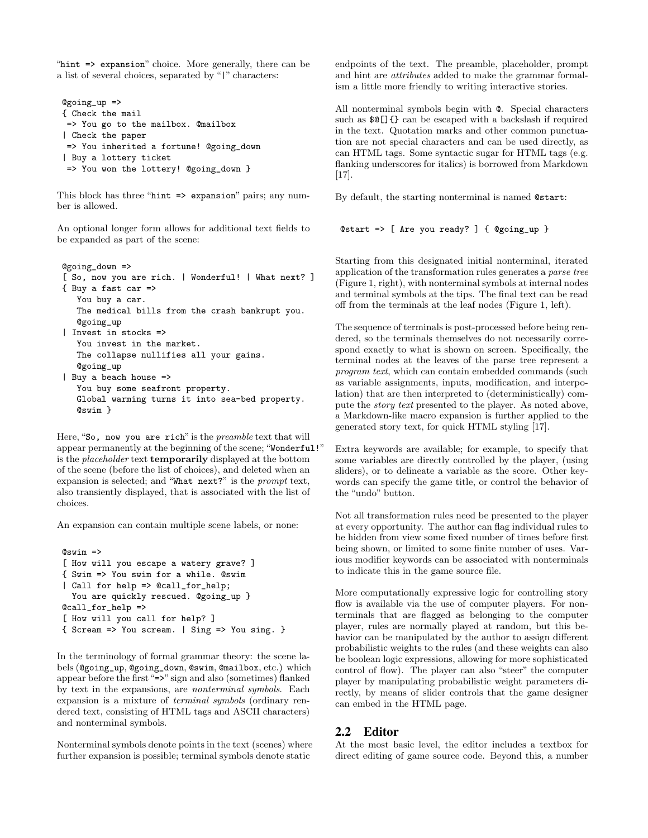"hint => expansion" choice. More generally, there can be a list of several choices, separated by "|" characters:

```
@going_up =>
{ Check the mail
=> You go to the mailbox. @mailbox
| Check the paper
=> You inherited a fortune! @going_down
| Buy a lottery ticket
=> You won the lottery! @going_down }
```
This block has three "hint => expansion" pairs; any number is allowed.

An optional longer form allows for additional text fields to be expanded as part of the scene:

```
@going_down =>
[ So, now you are rich. | Wonderful! | What next? ]
{ Buy a fast car =>
  You buy a car.
  The medical bills from the crash bankrupt you.
   @going_up
| Invest in stocks =>
   You invest in the market.
   The collapse nullifies all your gains.
   @going_up
| Buy a beach house =>
   You buy some seafront property.
   Global warming turns it into sea-bed property.
   @swim }
```
Here, "So, now you are rich" is the *preamble* text that will appear permanently at the beginning of the scene; "Wonderful!" is the placeholder text temporarily displayed at the bottom of the scene (before the list of choices), and deleted when an expansion is selected; and "What next?" is the prompt text, also transiently displayed, that is associated with the list of choices.

An expansion can contain multiple scene labels, or none:

```
@swim =>
[ How will you escape a watery grave? ]
{ Swim => You swim for a while. @swim
| Call for help => @call_for_help;
 You are quickly rescued. @going_up }
@call_for_help =>
[ How will you call for help? ]
{ Scream => You scream. | Sing => You sing. }
```
In the terminology of formal grammar theory: the scene labels (@going\_up, @going\_down, @swim, @mailbox, etc.) which appear before the first "=>" sign and also (sometimes) flanked by text in the expansions, are nonterminal symbols. Each expansion is a mixture of terminal symbols (ordinary rendered text, consisting of HTML tags and ASCII characters) and nonterminal symbols.

Nonterminal symbols denote points in the text (scenes) where further expansion is possible; terminal symbols denote static

endpoints of the text. The preamble, placeholder, prompt and hint are attributes added to make the grammar formalism a little more friendly to writing interactive stories.

All nonterminal symbols begin with @. Special characters such as \$@[]{} can be escaped with a backslash if required in the text. Quotation marks and other common punctuation are not special characters and can be used directly, as can HTML tags. Some syntactic sugar for HTML tags (e.g. flanking underscores for italics) is borrowed from Markdown [17].

By default, the starting nonterminal is named @start:

@start => [ Are you ready? ] { @going\_up }

Starting from this designated initial nonterminal, iterated application of the transformation rules generates a parse tree (Figure 1, right), with nonterminal symbols at internal nodes and terminal symbols at the tips. The final text can be read off from the terminals at the leaf nodes (Figure 1, left).

The sequence of terminals is post-processed before being rendered, so the terminals themselves do not necessarily correspond exactly to what is shown on screen. Specifically, the terminal nodes at the leaves of the parse tree represent a program text, which can contain embedded commands (such as variable assignments, inputs, modification, and interpolation) that are then interpreted to (deterministically) compute the story text presented to the player. As noted above, a Markdown-like macro expansion is further applied to the generated story text, for quick HTML styling [17].

Extra keywords are available; for example, to specify that some variables are directly controlled by the player, (using sliders), or to delineate a variable as the score. Other keywords can specify the game title, or control the behavior of the "undo" button.

Not all transformation rules need be presented to the player at every opportunity. The author can flag individual rules to be hidden from view some fixed number of times before first being shown, or limited to some finite number of uses. Various modifier keywords can be associated with nonterminals to indicate this in the game source file.

More computationally expressive logic for controlling story flow is available via the use of computer players. For nonterminals that are flagged as belonging to the computer player, rules are normally played at random, but this behavior can be manipulated by the author to assign different probabilistic weights to the rules (and these weights can also be boolean logic expressions, allowing for more sophisticated control of flow). The player can also "steer" the computer player by manipulating probabilistic weight parameters directly, by means of slider controls that the game designer can embed in the HTML page.

# 2.2 Editor

At the most basic level, the editor includes a textbox for direct editing of game source code. Beyond this, a number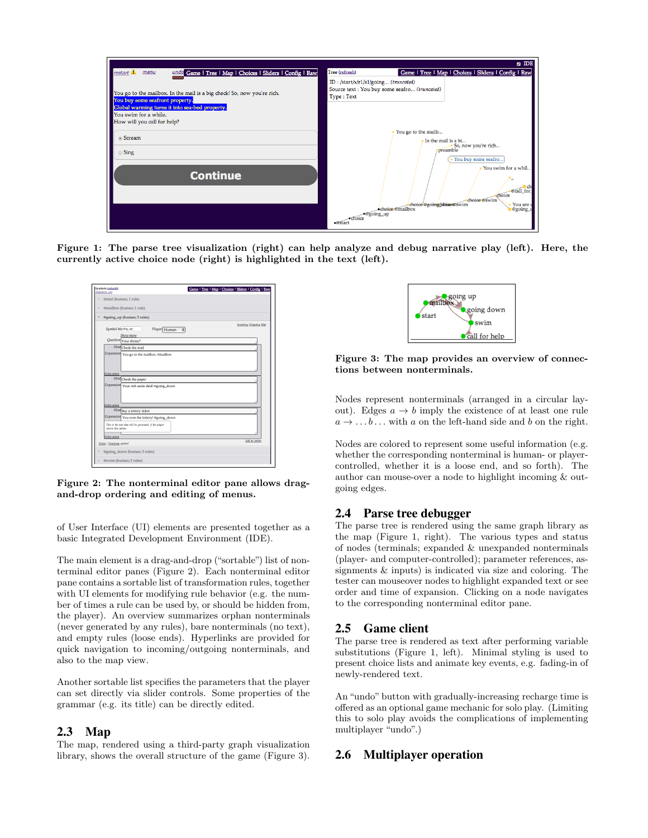

Figure 1: The parse tree visualization (right) can help analyze and debug narrative play (left). Here, the currently active choice node (right) is highlighted in the text (left).



Figure 2: The nonterminal editor pane allows dragand-drop ordering and editing of menus.

of User Interface (UI) elements are presented together as a basic Integrated Development Environment (IDE).

The main element is a drag-and-drop ("sortable") list of nonterminal editor panes (Figure 2). Each nonterminal editor pane contains a sortable list of transformation rules, together with UI elements for modifying rule behavior (e.g. the number of times a rule can be used by, or should be hidden from, the player). An overview summarizes orphan nonterminals (never generated by any rules), bare nonterminals (no text), and empty rules (loose ends). Hyperlinks are provided for quick navigation to incoming/outgoing nonterminals, and also to the map view.

Another sortable list specifies the parameters that the player can set directly via slider controls. Some properties of the grammar (e.g. its title) can be directly edited.

## 2.3 Map

The map, rendered using a third-party graph visualization library, shows the overall structure of the game (Figure 3).



Figure 3: The map provides an overview of connections between nonterminals.

Nodes represent nonterminals (arranged in a circular layout). Edges  $a \rightarrow b$  imply the existence of at least one rule  $a \rightarrow \ldots b \ldots$  with a on the left-hand side and b on the right.

Nodes are colored to represent some useful information (e.g. whether the corresponding nonterminal is human- or playercontrolled, whether it is a loose end, and so forth). The author can mouse-over a node to highlight incoming & outgoing edges.

## 2.4 Parse tree debugger

The parse tree is rendered using the same graph library as the map (Figure 1, right). The various types and status of nodes (terminals; expanded & unexpanded nonterminals (player- and computer-controlled); parameter references, assignments & inputs) is indicated via size and coloring. The tester can mouseover nodes to highlight expanded text or see order and time of expansion. Clicking on a node navigates to the corresponding nonterminal editor pane.

### 2.5 Game client

The parse tree is rendered as text after performing variable substitutions (Figure 1, left). Minimal styling is used to present choice lists and animate key events, e.g. fading-in of newly-rendered text.

An "undo" button with gradually-increasing recharge time is offered as an optional game mechanic for solo play. (Limiting this to solo play avoids the complications of implementing multiplayer "undo".)

#### 2.6 Multiplayer operation